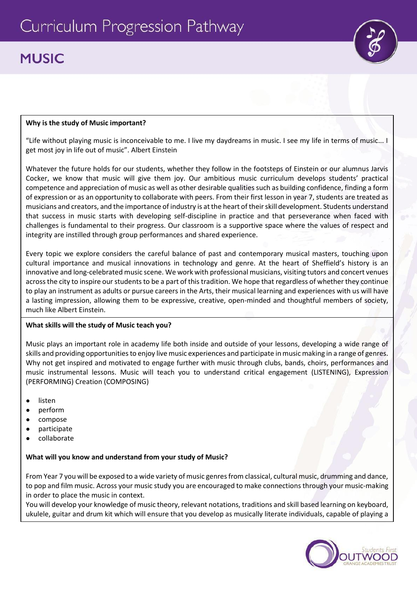# **MUSIC**

## **Why is the study of Music important?**

"Life without playing music is inconceivable to me. I live my daydreams in music. I see my life in terms of music... I get most joy in life out of music". Albert Einstein

Whatever the future holds for our students, whether they follow in the footsteps of Einstein or our alumnus Jarvis Cocker, we know that music will give them joy. Our ambitious music curriculum develops students' practical competence and appreciation of music as well as other desirable qualities such as building confidence, finding a form of expression or as an opportunity to collaborate with peers. From their first lesson in year 7, students are treated as musicians and creators, and the importance of industry is at the heart of their skill development. Students understand that success in music starts with developing self-discipline in practice and that perseverance when faced with challenges is fundamental to their progress. Our classroom is a supportive space where the values of respect and integrity are instilled through group performances and shared experience.

Every topic we explore considers the careful balance of past and contemporary musical masters, touching upon cultural importance and musical innovations in technology and genre. At the heart of Sheffield's history is an innovative and long-celebrated music scene. We work with professional musicians, visiting tutors and concert venues across the city to inspire our students to be a part of this tradition. We hope that regardless of whether they continue to play an instrument as adults or pursue careers in the Arts, their musical learning and experiences with us will have a lasting impression, allowing them to be expressive, creative, open-minded and thoughtful members of society, much like Albert Einstein.

#### **What skills will the study of Music teach you?**

Music plays an important role in academy life both inside and outside of your lessons, developing a wide range of skills and providing opportunities to enjoy live music experiences and participate in music making in a range of genres. Why not get inspired and motivated to engage further with music through clubs, bands, choirs, performances and music instrumental lessons. Music will teach you to understand critical engagement (LISTENING), Expression (PERFORMING) Creation (COMPOSING)

- listen
- perform
- compose
- participate
- collaborate

## **What will you know and understand from your study of Music?**

From Year 7 you will be exposed to a wide variety of music genres from classical, cultural music, drumming and dance, to pop and film music. Across your music study you are encouraged to make connections through your music-making in order to place the music in context.

You will develop your knowledge of music theory, relevant notations, traditions and skill based learning on keyboard, ukulele, guitar and drum kit which will ensure that you develop as musically literate individuals, capable of playing a

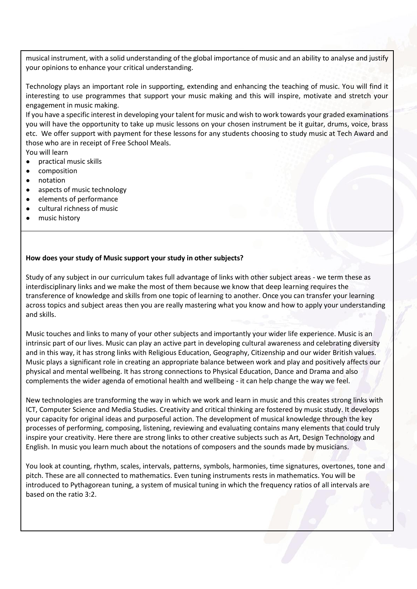musical instrument, with a solid understanding of the global importance of music and an ability to analyse and justify your opinions to enhance your critical understanding.

Technology plays an important role in supporting, extending and enhancing the teaching of music. You will find it interesting to use programmes that support your music making and this will inspire, motivate and stretch your engagement in music making.

If you have a specific interest in developing your talent for music and wish to work towards your graded examinations you will have the opportunity to take up music lessons on your chosen instrument be it guitar, drums, voice, brass etc. We offer support with payment for these lessons for any students choosing to study music at Tech Award and those who are in receipt of Free School Meals.

You will learn

- practical music skills
- composition
- notation
- aspects of music technology
- elements of performance
- cultural richness of music
- music history

# **How does your study of Music support your study in other subjects?**

Study of any subject in our curriculum takes full advantage of links with other subject areas - we term these as interdisciplinary links and we make the most of them because we know that deep learning requires the transference of knowledge and skills from one topic of learning to another. Once you can transfer your learning across topics and subject areas then you are really mastering what you know and how to apply your understanding and skills.

Music touches and links to many of your other subjects and importantly your wider life experience. Music is an intrinsic part of our lives. Music can play an active part in developing cultural awareness and celebrating diversity and in this way, it has strong links with Religious Education, Geography, Citizenship and our wider British values. Music plays a significant role in creating an appropriate balance between work and play and positively affects our physical and mental wellbeing. It has strong connections to Physical Education, Dance and Drama and also complements the wider agenda of emotional health and wellbeing - it can help change the way we feel.

New technologies are transforming the way in which we work and learn in music and this creates strong links with ICT, Computer Science and Media Studies. Creativity and critical thinking are fostered by music study. It develops your capacity for original ideas and purposeful action. The development of musical knowledge through the key processes of performing, composing, listening, reviewing and evaluating contains many elements that could truly inspire your creativity. Here there are strong links to other creative subjects such as Art, Design Technology and English. In music you learn much about the notations of composers and the sounds made by musicians.

You look at counting, rhythm, scales, intervals, patterns, symbols, harmonies, time signatures, overtones, tone and pitch. These are all connected to mathematics. Even tuning instruments rests in mathematics. You will be introduced to Pythagorean tuning, a system of musical tuning in which the frequency ratios of all intervals are based on the ratio 3:2.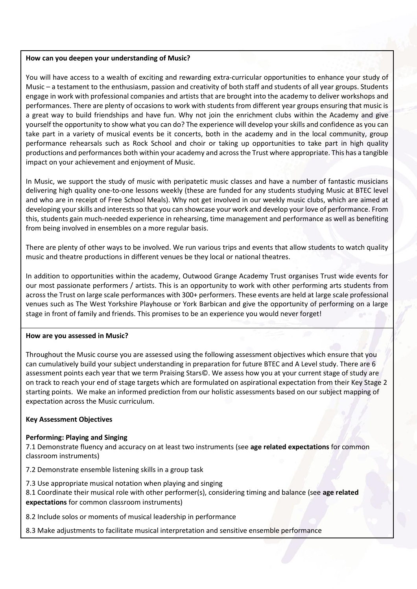#### **How can you deepen your understanding of Music?**

You will have access to a wealth of exciting and rewarding extra-curricular opportunities to enhance your study of Music – a testament to the enthusiasm, passion and creativity of both staff and students of all year groups. Students engage in work with professional companies and artists that are brought into the academy to deliver workshops and performances. There are plenty of occasions to work with students from different year groups ensuring that music is a great way to build friendships and have fun. Why not join the enrichment clubs within the Academy and give yourself the opportunity to show what you can do? The experience will develop your skills and confidence as you can take part in a variety of musical events be it concerts, both in the academy and in the local community, group performance rehearsals such as Rock School and choir or taking up opportunities to take part in high quality productions and performances both within your academy and across the Trust where appropriate. This has a tangible impact on your achievement and enjoyment of Music.

In Music, we support the study of music with peripatetic music classes and have a number of fantastic musicians delivering high quality one-to-one lessons weekly (these are funded for any students studying Music at BTEC level and who are in receipt of Free School Meals). Why not get involved in our weekly music clubs, which are aimed at developing your skills and interests so that you can showcase your work and develop your love of performance. From this, students gain much-needed experience in rehearsing, time management and performance as well as benefiting from being involved in ensembles on a more regular basis.

There are plenty of other ways to be involved. We run various trips and events that allow students to watch quality music and theatre productions in different venues be they local or national theatres.

In addition to opportunities within the academy, Outwood Grange Academy Trust organises Trust wide events for our most passionate performers / artists. This is an opportunity to work with other performing arts students from across the Trust on large scale performances with 300+ performers. These events are held at large scale professional venues such as The West Yorkshire Playhouse or York Barbican and give the opportunity of performing on a large stage in front of family and friends. This promises to be an experience you would never forget!

#### **How are you assessed in Music?**

Throughout the Music course you are assessed using the following assessment objectives which ensure that you can cumulatively build your subject understanding in preparation for future BTEC and A Level study. There are 6 assessment points each year that we term Praising Stars©. We assess how you at your current stage of study are on track to reach your end of stage targets which are formulated on aspirational expectation from their Key Stage 2 starting points. We make an informed prediction from our holistic assessments based on our subject mapping of expectation across the Music curriculum.

#### **Key Assessment Objectives**

#### **Performing: Playing and Singing**

7.1 Demonstrate fluency and accuracy on at least two instruments (see **age related expectations** for common classroom instruments)

7.2 Demonstrate ensemble listening skills in a group task

- 7.3 Use appropriate musical notation when playing and singing
- 8.1 Coordinate their musical role with other performer(s), considering timing and balance (see **age related expectations** for common classroom instruments)

8.2 Include solos or moments of musical leadership in performance

8.3 Make adjustments to facilitate musical interpretation and sensitive ensemble performance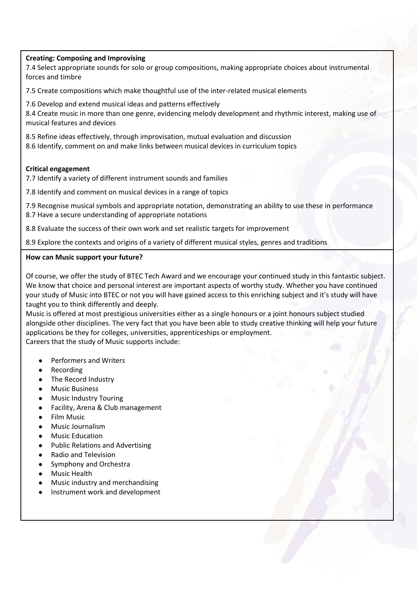# **Creating: Composing and Improvising**

7.4 Select appropriate sounds for solo or group compositions, making appropriate choices about instrumental forces and timbre

7.5 Create compositions which make thoughtful use of the inter-related musical elements

7.6 Develop and extend musical ideas and patterns effectively

8.4 Create music in more than one genre, evidencing melody development and rhythmic interest, making use of musical features and devices

8.5 Refine ideas effectively, through improvisation, mutual evaluation and discussion 8.6 Identify, comment on and make links between musical devices in curriculum topics

# **Critical engagement**

7.7 Identify a variety of different instrument sounds and families

7.8 Identify and comment on musical devices in a range of topics

7.9 Recognise musical symbols and appropriate notation, demonstrating an ability to use these in performance

8.7 Have a secure understanding of appropriate notations

8.8 Evaluate the success of their own work and set realistic targets for improvement

8.9 Explore the contexts and origins of a variety of different musical styles, genres and traditions

# **How can Music support your future?**

Of course, we offer the study of BTEC Tech Award and we encourage your continued study in this fantastic subject. We know that choice and personal interest are important aspects of worthy study. Whether you have continued your study of Music into BTEC or not you will have gained access to this enriching subject and it's study will have taught you to think differently and deeply.

Music is offered at most prestigious universities either as a single honours or a joint honours subject studied alongside other disciplines. The very fact that you have been able to study creative thinking will help your future applications be they for colleges, universities, apprenticeships or employment. Careers that the study of Music supports include:

- [Performers and Writers](https://www.careersinmusic.com/music-performing-writing-careers/)
- [Recording](https://www.careersinmusic.com/music-recording-careers/)
- [The Record Industry](https://www.careersinmusic.com/record-industry-careers/)
- [Music Business](https://www.careersinmusic.com/music-business-careers/)
- **[Music Industry Touring](https://www.careersinmusic.com/music-industry-touring-careers/)**
- [Facility, Arena & Club](https://www.careersinmusic.com/facility-arena-club-careers/) management
- [Film Music](https://www.careersinmusic.com/film-music-careers/)
- [Music Journalism](https://www.careersinmusic.com/music-journalism-careers/)
- [Music Education](https://www.careersinmusic.com/music-education-careers/)
- **[Public Relations and Advertising](https://www.careersinmusic.com/music-public-relations-advertising-careers/)**
- [Radio and Television](https://www.careersinmusic.com/radio-television-careers/)
- [Symphony and Orchestra](https://www.careersinmusic.com/symphony-orchestra-opera-careers/)
- Music Health
- Music industry and merchandising
- Instrument work and development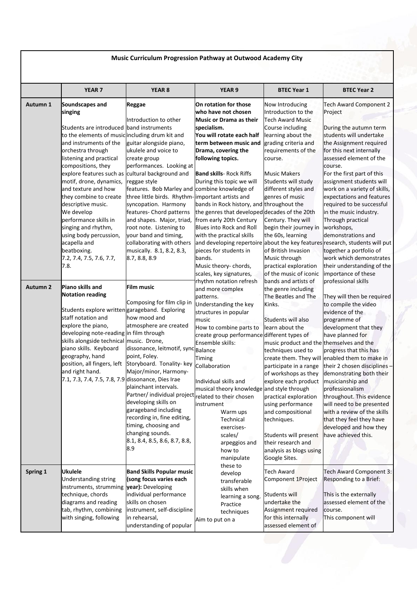|                 | YEAR <sub>7</sub>                                                      | YEAR <sub>8</sub>                                                  | YEAR <sub>9</sub>                                                                                         | <b>BTEC Year 1</b>                          | <b>BTEC Year 2</b>                                                           |
|-----------------|------------------------------------------------------------------------|--------------------------------------------------------------------|-----------------------------------------------------------------------------------------------------------|---------------------------------------------|------------------------------------------------------------------------------|
| Autumn 1        | Soundscapes and<br>singing                                             | Reggae                                                             | On rotation for those<br>who have not chosen                                                              | Now Introducing<br>Introduction to the      | <b>Tech Award Component 2</b><br>Project                                     |
|                 |                                                                        | Introduction to other                                              | Music or Drama as their                                                                                   | <b>Tech Award Music</b>                     |                                                                              |
|                 | Students are introduced band instruments                               |                                                                    | specialism.                                                                                               | Course including                            | During the autumn term                                                       |
|                 | to the elements of musicincluding drum kit and                         |                                                                    | You will rotate each half                                                                                 | learning about the                          | students will undertake                                                      |
|                 | and instruments of the                                                 | guitar alongside piano,                                            | term between music and                                                                                    | grading criteria and                        | the Assignment required                                                      |
|                 | orchestra through                                                      | ukulele and voice to                                               | Drama, covering the                                                                                       | requirements of the                         | for this next internally                                                     |
|                 | listening and practical                                                | create group                                                       | following topics.                                                                                         | course.                                     | assessed element of the                                                      |
|                 | compositions, they<br>explore features such as cultural background and | performances. Looking at                                           | <b>Band skills</b> - Rock Riffs                                                                           | <b>Music Makers</b>                         | course.<br>For the first part of this                                        |
|                 | motif, drone, dynamics,                                                | reggae style                                                       | During this topic we will                                                                                 | Students will study                         | assignment students will                                                     |
|                 | and texture and how                                                    | features. Bob Marley and combine knowledge of                      |                                                                                                           | different styles and                        | work on a variety of skills,                                                 |
|                 | they combine to create                                                 | three little birds. Rhythm-important artists and                   |                                                                                                           | genres of music                             | expectations and features                                                    |
|                 | descriptive music.                                                     | syncopation. Harmony                                               | bands in Rock history, and throughout the                                                                 |                                             | required to be successful                                                    |
|                 | We develop                                                             | features- Chord patterns                                           | the genres that developed decades of the 20th                                                             |                                             | in the music industry.                                                       |
|                 | performance skills in                                                  | and shapes. Major, triad,                                          | from early 20th Century                                                                                   | Century. They will                          | Through practical                                                            |
|                 | singing and rhythm,<br>using body percussion,                          | root note. Listening to<br>your band and timing,                   | <b>Blues into Rock and Roll</b>                                                                           | begin their journey in<br>the 60s, learning | workshops,<br>demonstrations and                                             |
|                 | acapella and                                                           | collaborating with others                                          | with the practical skills<br>and developing repertoire about the key features research, students will put |                                             |                                                                              |
|                 | beatboxing.                                                            | musically. 8.1, 8.2, 8.3,                                          | pieces for students in                                                                                    | of British Invasion                         | together a portfolio of                                                      |
|                 | 7.2, 7.4, 7.5, 7.6, 7.7,                                               | 8.7, 8.8, 8.9                                                      | bands.                                                                                                    | Music through                               | work which demonstrates                                                      |
|                 | 7.8.                                                                   |                                                                    | Music theory-chords,                                                                                      | practical exploration                       | their understanding of the                                                   |
|                 |                                                                        |                                                                    | scales, key signatures,                                                                                   | of the music of iconic                      | importance of these                                                          |
| <b>Autumn 2</b> | Piano skills and                                                       | <b>Film music</b>                                                  | rhythm notation refresh                                                                                   | bands and artists of                        | professional skills                                                          |
|                 | <b>Notation reading</b>                                                |                                                                    | and more complex                                                                                          | the genre including<br>The Beatles and The  |                                                                              |
|                 |                                                                        | Composing for film clip in                                         | patterns.<br>Understanding the key                                                                        | Kinks.                                      | They will then be required<br>to compile the video                           |
|                 | Students explore writtengarageband. Exploring                          |                                                                    | structures in popular                                                                                     |                                             | evidence of the                                                              |
|                 | staff notation and                                                     | how mood and                                                       | music                                                                                                     | Students will also                          | programme of                                                                 |
|                 | explore the piano,                                                     | atmosphere are created                                             | How to combine parts to                                                                                   | learn about the                             | development that they                                                        |
|                 | developing note-reading in film through                                |                                                                    | create group performance different types of                                                               |                                             | have planned for                                                             |
|                 | skills alongside technical music. Drone,<br>piano skills. Keyboard     | dissonance, leitmotif, sync Balance                                | Ensemble skills:                                                                                          | music product and the themselves and the    |                                                                              |
|                 | geography, hand                                                        | point, Foley.                                                      |                                                                                                           | techniques used to                          | progress that this has                                                       |
|                 |                                                                        | position, all fingers, left Storyboard. Tonality-key Collaboration | Timing                                                                                                    | participate in a range                      | create them. They will enabled them to make in<br>their 2 chosen disciplines |
|                 | and right hand.                                                        | Major/minor, Harmony-                                              |                                                                                                           | of workshops as they                        | demonstrating both their                                                     |
|                 | 7.1, 7.3, 7.4, 7.5, 7.8, 7.9 dissonance, Dies Irae                     |                                                                    | Individual skills and                                                                                     | explore each product                        | musicianship and                                                             |
|                 |                                                                        | plainchant intervals.                                              | musical theory knowledge and style through                                                                |                                             | professionalism                                                              |
|                 |                                                                        | Partner/ individual project related to their chosen                |                                                                                                           | practical exploration                       | throughout. This evidence                                                    |
|                 |                                                                        | developing skills on<br>garageband including                       | instrument                                                                                                | using performance                           | will need to be presented                                                    |
|                 |                                                                        | recording in, fine editing,                                        | Warm ups                                                                                                  | and compositional                           | with a review of the skills                                                  |
|                 |                                                                        | timing, choosing and                                               | Technical<br>exercises-                                                                                   | techniques.                                 | that they feel they have<br>developed and how they                           |
|                 |                                                                        | changing sounds.                                                   | scales/                                                                                                   | Students will present                       | have achieved this.                                                          |
|                 |                                                                        | 8.1, 8.4, 8.5, 8.6, 8.7, 8.8,                                      | arpeggios and                                                                                             | their research and                          |                                                                              |
|                 |                                                                        | 8.9                                                                | how to                                                                                                    | analysis as blogs using                     |                                                                              |
|                 |                                                                        |                                                                    | manipulate                                                                                                | Google Sites.                               |                                                                              |
|                 | <b>Ukulele</b>                                                         |                                                                    | these to                                                                                                  |                                             |                                                                              |
| Spring 1        | Understanding string                                                   | <b>Band Skills Popular music</b><br>(song focus varies each        | develop                                                                                                   | <b>Tech Award</b><br>Component 1Project     | Tech Award Component 3:<br>Responding to a Brief:                            |
|                 | instruments, strumming vear): Developing                               |                                                                    | transferable                                                                                              |                                             |                                                                              |
|                 | technique, chords                                                      | individual performance                                             | skills when<br>learning a song.                                                                           | Students will                               | This is the externally                                                       |
|                 | diagrams and reading                                                   | skills on chosen                                                   | Practice                                                                                                  | undertake the                               | assessed element of the                                                      |
|                 | tab, rhythm, combining                                                 | instrument, self-discipline                                        | techniques                                                                                                | Assignment required                         | course.                                                                      |
|                 | with singing, following                                                | in rehearsal,                                                      |                                                                                                           | for this internally                         | This component will                                                          |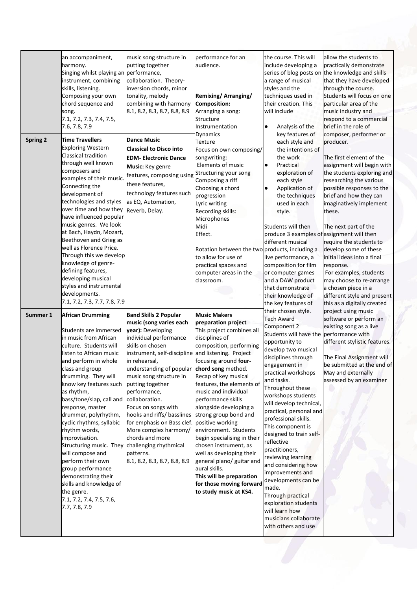| <b>Spring 2</b> | an accompaniment,<br>harmony.<br>Singing whilst playing an performance,<br>instrument, combining<br>skills, listening.<br>Composing your own<br>chord sequence and<br>song.<br>7.1, 7.2, 7.3, 7.4, 7.5,<br>7.6, 7.8, 7.9<br><b>Time Travellers</b><br><b>Exploring Western</b><br><b>Classical tradition</b><br>through well known<br>composers and<br>examples of their music.<br>Connecting the<br>development of<br>technologies and styles<br>over time and how they<br>have influenced popular<br>music genres. We look<br>at Bach, Haydn, Mozart,<br>Beethoven and Grieg as<br>well as Florence Price.<br>Through this we develop<br>knowledge of genre-<br>defining features,<br>developing musical | music song structure in<br>putting together<br>collaboration. Theory-<br>inversion chords, minor<br>tonality, melody<br>combining with harmony<br>8.1, 8.2, 8.3, 8.7, 8.8, 8.9<br><b>Dance Music</b><br><b>Classical to Disco into</b><br><b>EDM- Electronic Dance</b><br>Music: Key genre<br>features, composing using Structuring your song<br>these features,<br>technology features such<br>as EQ, Automation,<br>Reverb, Delay.                                                       | performance for an<br>audience.<br><b>Remixing/Arranging/</b><br><b>Composition:</b><br>Arranging a song:<br>Structure<br>Instrumentation<br>Dynamics<br>Texture<br>Focus on own composing/<br>songwriting:<br>Elements of music<br>Composing a riff<br>Choosing a chord<br>progression<br>Lyric writing<br>Recording skills:<br>Microphones<br>Midi<br>Effect.<br>Rotation between the two products, including a<br>to allow for use of<br>practical spaces and<br>computer areas in the<br>classroom.                                                                                    | the course. This will<br>include developing a<br>a range of musical<br>styles and the<br>techniques used in<br>their creation. This<br>will include<br>Analysis of the<br>$\bullet$<br>key features of<br>each style and<br>the intentions of<br>the work<br>Practical<br>$\bullet$<br>exploration of<br>each style<br>Application of<br>٠<br>the techniques<br>used in each<br>style.<br>Students will then<br>produce 3 examples of assignment will then<br>different musical<br>live performance, a<br>composition for film<br>or computer games<br>and a DAW product                                                  | allow the students to<br>practically demonstrate<br>series of blog posts on the knowledge and skills<br>that they have developed<br>through the course.<br>Students will focus on one<br>particular area of the<br>music industry and<br>respond to a commercial<br>brief in the role of<br>composer, performer or<br>producer.<br>The first element of the<br>assignment will begin with<br>the students exploring and<br>researching the various<br>possible responses to the<br>brief and how they can<br>imaginatively implement<br>these.<br>The next part of the<br>require the students to<br>develop some of these<br>initial ideas into a final<br>response.<br>For examples, students<br>may choose to re-arrange |
|-----------------|------------------------------------------------------------------------------------------------------------------------------------------------------------------------------------------------------------------------------------------------------------------------------------------------------------------------------------------------------------------------------------------------------------------------------------------------------------------------------------------------------------------------------------------------------------------------------------------------------------------------------------------------------------------------------------------------------------|--------------------------------------------------------------------------------------------------------------------------------------------------------------------------------------------------------------------------------------------------------------------------------------------------------------------------------------------------------------------------------------------------------------------------------------------------------------------------------------------|--------------------------------------------------------------------------------------------------------------------------------------------------------------------------------------------------------------------------------------------------------------------------------------------------------------------------------------------------------------------------------------------------------------------------------------------------------------------------------------------------------------------------------------------------------------------------------------------|---------------------------------------------------------------------------------------------------------------------------------------------------------------------------------------------------------------------------------------------------------------------------------------------------------------------------------------------------------------------------------------------------------------------------------------------------------------------------------------------------------------------------------------------------------------------------------------------------------------------------|-----------------------------------------------------------------------------------------------------------------------------------------------------------------------------------------------------------------------------------------------------------------------------------------------------------------------------------------------------------------------------------------------------------------------------------------------------------------------------------------------------------------------------------------------------------------------------------------------------------------------------------------------------------------------------------------------------------------------------|
|                 | styles and instrumental<br>developments.<br>7.1, 7.2, 7.3, 7.7, 7.8, 7.9                                                                                                                                                                                                                                                                                                                                                                                                                                                                                                                                                                                                                                   |                                                                                                                                                                                                                                                                                                                                                                                                                                                                                            |                                                                                                                                                                                                                                                                                                                                                                                                                                                                                                                                                                                            | that demonstrate<br>their knowledge of<br>the key features of<br>their chosen style.                                                                                                                                                                                                                                                                                                                                                                                                                                                                                                                                      | a chosen piece in a<br>different style and present<br>this as a digitally created<br>project using music                                                                                                                                                                                                                                                                                                                                                                                                                                                                                                                                                                                                                    |
| Summer 1        | <b>African Drumming</b><br>Students are immersed<br>in music from African<br>culture. Students will<br>listen to African music<br>and perform in whole<br>class and group<br>drumming. They will<br>know key features such<br>as rhythm,<br>bass/tone/slap, call and<br>response, master<br>drummer, polyrhythm,<br>cyclic rhythms, syllabic<br>rhythm words,<br>improvisation.<br>Structuring music. They challenging rhythmical<br>will compose and<br>perform their own<br>group performance<br>demonstrating their<br>skills and knowledge of<br>the genre.<br>7.1, 7.2, 7.4, 7.5, 7.6,<br>7.7, 7.8, 7.9                                                                                               | <b>Band Skills 2 Popular</b><br>music (song varies each<br>year): Developing<br>individual performance<br>skills on chosen<br>instrument, self-discipline and listening. Project<br>in rehearsal,<br>understanding of popular<br>music song structure in<br>putting together<br>performance,<br>collaboration.<br>Focus on songs with<br>hooks and riffs/ basslines<br>for emphasis on Bass clef.<br>More complex harmony/<br>chords and more<br>patterns.<br>8.1, 8.2, 8.3, 8.7, 8.8, 8.9 | <b>Music Makers</b><br>preparation project<br>This project combines all<br>disciplines of<br>composition, performing<br>focusing around four-<br>chord song method.<br>Recap of key musical<br>features, the elements of<br>music and individual<br>performance skills<br>alongside developing a<br>strong group bond and<br>positive working<br>environment. Students<br>begin specialising in their<br>chosen instrument, as<br>well as developing their<br>general piano/ guitar and<br>aural skills.<br>This will be preparation<br>for those moving forward<br>to study music at KS4. | <b>Tech Award</b><br>Component 2<br>Students will have the performance with<br>opportunity to<br>develop two musical<br>disciplines through<br>engagement in<br>practical workshops<br>and tasks.<br>Throughout these<br>workshops students<br>will develop technical,<br>practical, personal and<br>professional skills.<br>This component is<br>designed to train self-<br>reflective<br>practitioners,<br>reviewing learning<br>and considering how<br>improvements and<br>developments can be<br>made.<br>Through practical<br>exploration students<br>will learn how<br>musicians collaborate<br>with others and use | software or perform an<br>existing song as a live<br>different stylistic features.<br>The Final Assignment will<br>be submitted at the end of<br>May and externally<br>assessed by an examiner                                                                                                                                                                                                                                                                                                                                                                                                                                                                                                                              |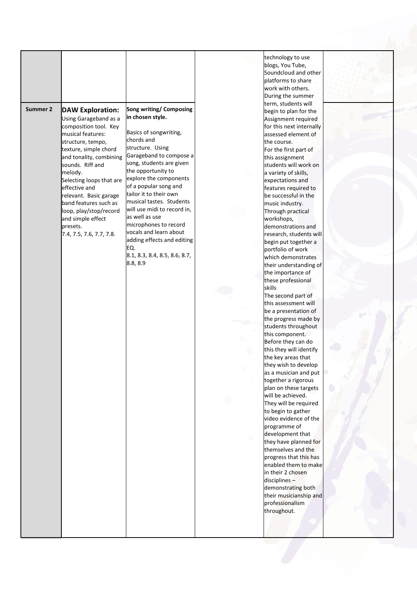|          |                          |                                | technology to use        |  |
|----------|--------------------------|--------------------------------|--------------------------|--|
|          |                          |                                | blogs, You Tube,         |  |
|          |                          |                                |                          |  |
|          |                          |                                | Soundcloud and other     |  |
|          |                          |                                | platforms to share       |  |
|          |                          |                                | work with others.        |  |
|          |                          |                                | During the summer        |  |
|          |                          |                                | term, students will      |  |
| Summer 2 | <b>DAW Exploration:</b>  | <b>Song writing/ Composing</b> | begin to plan for the    |  |
|          |                          | in chosen style.               |                          |  |
|          | Using Garageband as a    |                                | Assignment required      |  |
|          | composition tool. Key    |                                | for this next internally |  |
|          | musical features:        | Basics of songwriting,         | assessed element of      |  |
|          | structure, tempo,        | chords and                     | the course.              |  |
|          | texture, simple chord    | structure. Using               | For the first part of    |  |
|          | and tonality, combining  | Garageband to compose a        | this assignment          |  |
|          | sounds. Riff and         | song, students are given       | students will work on    |  |
|          |                          | the opportunity to             |                          |  |
|          | melody.                  | explore the components         | a variety of skills,     |  |
|          | Selecting loops that are |                                | expectations and         |  |
|          | effective and            | of a popular song and          | features required to     |  |
|          | relevant. Basic garage   | tailor it to their own         | be successful in the     |  |
|          | band features such as    | musical tastes. Students       | music industry.          |  |
|          | loop, play/stop/record   | will use midi to record in,    | Through practical        |  |
|          | and simple effect        | as well as use                 |                          |  |
|          |                          | microphones to record          | workshops,               |  |
|          | bresets.                 | vocals and learn about         | demonstrations and       |  |
|          | 7.4, 7.5, 7.6, 7.7, 7.8. |                                | research, students will  |  |
|          |                          | adding effects and editing     | begin put together a     |  |
|          |                          | EQ.                            | portfolio of work        |  |
|          |                          | 8.1, 8.3, 8.4, 8.5, 8.6, 8.7,  | which demonstrates       |  |
|          |                          | 8.8, 8.9                       | their understanding of   |  |
|          |                          |                                | the importance of        |  |
|          |                          |                                |                          |  |
|          |                          |                                | these professional       |  |
|          |                          |                                | skills                   |  |
|          |                          |                                | The second part of       |  |
|          |                          |                                | this assessment will     |  |
|          |                          |                                | be a presentation of     |  |
|          |                          |                                | the progress made by     |  |
|          |                          |                                | students throughout      |  |
|          |                          |                                | this component.          |  |
|          |                          |                                |                          |  |
|          |                          |                                | Before they can do       |  |
|          |                          |                                | this they will identify  |  |
|          |                          |                                | the key areas that       |  |
|          |                          |                                | they wish to develop     |  |
|          |                          |                                | as a musician and put    |  |
|          |                          |                                | together a rigorous      |  |
|          |                          |                                | plan on these targets    |  |
|          |                          |                                | will be achieved.        |  |
|          |                          |                                | They will be required    |  |
|          |                          |                                |                          |  |
|          |                          |                                | to begin to gather       |  |
|          |                          |                                | video evidence of the    |  |
|          |                          |                                | programme of             |  |
|          |                          |                                | development that         |  |
|          |                          |                                | they have planned for    |  |
|          |                          |                                | themselves and the       |  |
|          |                          |                                | progress that this has   |  |
|          |                          |                                | enabled them to make     |  |
|          |                          |                                |                          |  |
|          |                          |                                | in their 2 chosen        |  |
|          |                          |                                | disciplines-             |  |
|          |                          |                                | demonstrating both       |  |
|          |                          |                                | their musicianship and   |  |
|          |                          |                                | professionalism          |  |
|          |                          |                                | throughout.              |  |
|          |                          |                                |                          |  |
|          |                          |                                |                          |  |
|          |                          |                                |                          |  |
|          |                          |                                |                          |  |